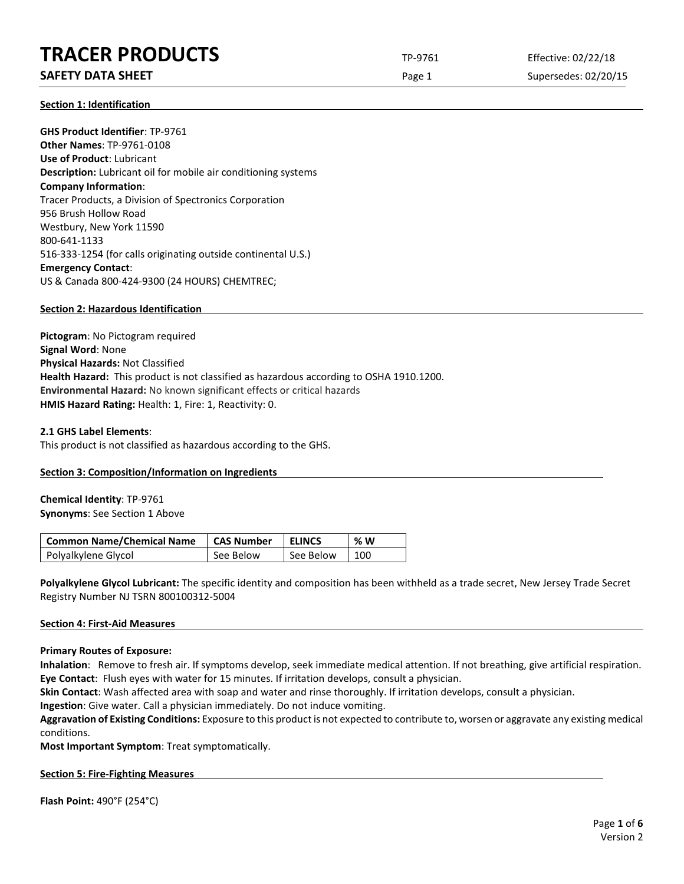# **TRACER PRODUCTS** TP-9761 Effective: 02/22/18

# **SAFETY DATA SHEET** SUPERFOUR CONSUMING THE Page 1 Supersedes: 02/20/15

**Section 1: Identification**

**GHS Product Identifier**: TP-9761 **Other Names**: TP-9761-0108 **Use of Product**: Lubricant **Description:** Lubricant oil for mobile air conditioning systems **Company Information**: Tracer Products, a Division of Spectronics Corporation 956 Brush Hollow Road Westbury, New York 11590 800-641-1133 516-333-1254 (for calls originating outside continental U.S.) **Emergency Contact**: US & Canada 800-424-9300 (24 HOURS) CHEMTREC;

# **Section 2: Hazardous Identification**

**Pictogram**: No Pictogram required **Signal Word**: None **Physical Hazards:** Not Classified **Health Hazard:** This product is not classified as hazardous according to OSHA 1910.1200. **Environmental Hazard:** No known significant effects or critical hazards **HMIS Hazard Rating:** Health: 1, Fire: 1, Reactivity: 0.

#### **2.1 GHS Label Elements**:

This product is not classified as hazardous according to the GHS.

# **Section 3: Composition/Information on Ingredients**

**Chemical Identity**: TP-9761 **Synonyms**: See Section 1 Above

| <b>Common Name/Chemical Name</b> | <b>CAS Number</b> | <b>ELINCS</b> | % W |
|----------------------------------|-------------------|---------------|-----|
| Polyalkylene Glycol              | See Below         | See Below     | 100 |

**Polyalkylene Glycol Lubricant:** The specific identity and composition has been withheld as a trade secret, New Jersey Trade Secret Registry Number NJ TSRN 800100312-5004

#### **Section 4: First-Aid Measures**

#### **Primary Routes of Exposure:**

**Inhalation**: Remove to fresh air. If symptoms develop, seek immediate medical attention. If not breathing, give artificial respiration. **Eye Contact**: Flush eyes with water for 15 minutes. If irritation develops, consult a physician.

**Skin Contact**: Wash affected area with soap and water and rinse thoroughly. If irritation develops, consult a physician.

**Ingestion**: Give water. Call a physician immediately. Do not induce vomiting.

**Aggravation of Existing Conditions:** Exposure to this product is not expected to contribute to, worsen or aggravate any existing medical conditions.

**Most Important Symptom**: Treat symptomatically.

#### **Section 5: Fire-Fighting Measures**

**Flash Point:** 490°F (254°C)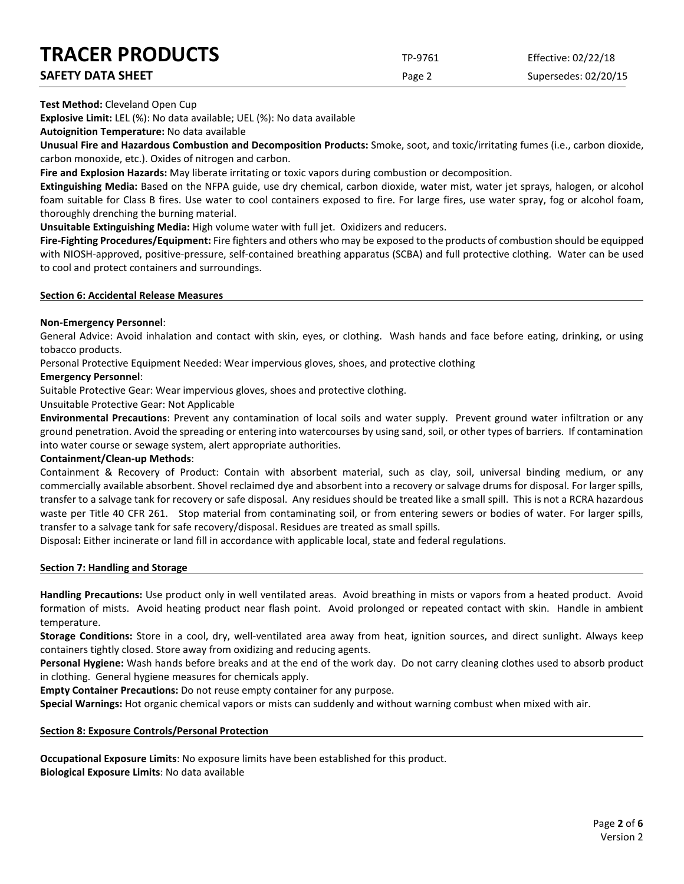# **TRACER PRODUCTS** TP-9761 Effective: 02/22/18

| <b>INALEN PRUDULIS</b>   | TP-9761       | Effective: 02/22/18  |
|--------------------------|---------------|----------------------|
| <b>SAFETY DATA SHEET</b> | Page $\angle$ | Supersedes: 02/20/15 |

**Test Method:** Cleveland Open Cup

**Explosive Limit:** LEL (%): No data available; UEL (%): No data available

**Autoignition Temperature:** No data available

**Unusual Fire and Hazardous Combustion and Decomposition Products:** Smoke, soot, and toxic/irritating fumes (i.e., carbon dioxide, carbon monoxide, etc.). Oxides of nitrogen and carbon.

**Fire and Explosion Hazards:** May liberate irritating or toxic vapors during combustion or decomposition.

**Extinguishing Media:** Based on the NFPA guide, use dry chemical, carbon dioxide, water mist, water jet sprays, halogen, or alcohol foam suitable for Class B fires. Use water to cool containers exposed to fire. For large fires, use water spray, fog or alcohol foam, thoroughly drenching the burning material.

**Unsuitable Extinguishing Media:** High volume water with full jet. Oxidizers and reducers.

**Fire-Fighting Procedures/Equipment:** Fire fighters and others who may be exposed to the products of combustion should be equipped with NIOSH-approved, positive-pressure, self-contained breathing apparatus (SCBA) and full protective clothing. Water can be used to cool and protect containers and surroundings.

# **Section 6: Accidental Release Measures**

# **Non-Emergency Personnel**:

General Advice: Avoid inhalation and contact with skin, eyes, or clothing. Wash hands and face before eating, drinking, or using tobacco products.

Personal Protective Equipment Needed: Wear impervious gloves, shoes, and protective clothing

# **Emergency Personnel**:

Suitable Protective Gear: Wear impervious gloves, shoes and protective clothing.

Unsuitable Protective Gear: Not Applicable

**Environmental Precautions**: Prevent any contamination of local soils and water supply. Prevent ground water infiltration or any ground penetration. Avoid the spreading or entering into watercourses by using sand, soil, or other types of barriers. If contamination into water course or sewage system, alert appropriate authorities.

# **Containment/Clean-up Methods**:

Containment & Recovery of Product: Contain with absorbent material, such as clay, soil, universal binding medium, or any commercially available absorbent. Shovel reclaimed dye and absorbent into a recovery or salvage drums for disposal. For larger spills, transfer to a salvage tank for recovery or safe disposal. Any residues should be treated like a small spill. This is not a RCRA hazardous waste per Title 40 CFR 261. Stop material from contaminating soil, or from entering sewers or bodies of water. For larger spills, transfer to a salvage tank for safe recovery/disposal. Residues are treated as small spills.

Disposal**:** Either incinerate or land fill in accordance with applicable local, state and federal regulations.

# **Section 7: Handling and Storage**

**Handling Precautions:** Use product only in well ventilated areas. Avoid breathing in mists or vapors from a heated product. Avoid formation of mists. Avoid heating product near flash point. Avoid prolonged or repeated contact with skin. Handle in ambient temperature.

**Storage Conditions:** Store in a cool, dry, well-ventilated area away from heat, ignition sources, and direct sunlight. Always keep containers tightly closed. Store away from oxidizing and reducing agents.

**Personal Hygiene:** Wash hands before breaks and at the end of the work day. Do not carry cleaning clothes used to absorb product in clothing. General hygiene measures for chemicals apply.

**Empty Container Precautions:** Do not reuse empty container for any purpose.

**Special Warnings:** Hot organic chemical vapors or mists can suddenly and without warning combust when mixed with air.

# **Section 8: Exposure Controls/Personal Protection**

**Occupational Exposure Limits**: No exposure limits have been established for this product. **Biological Exposure Limits**: No data available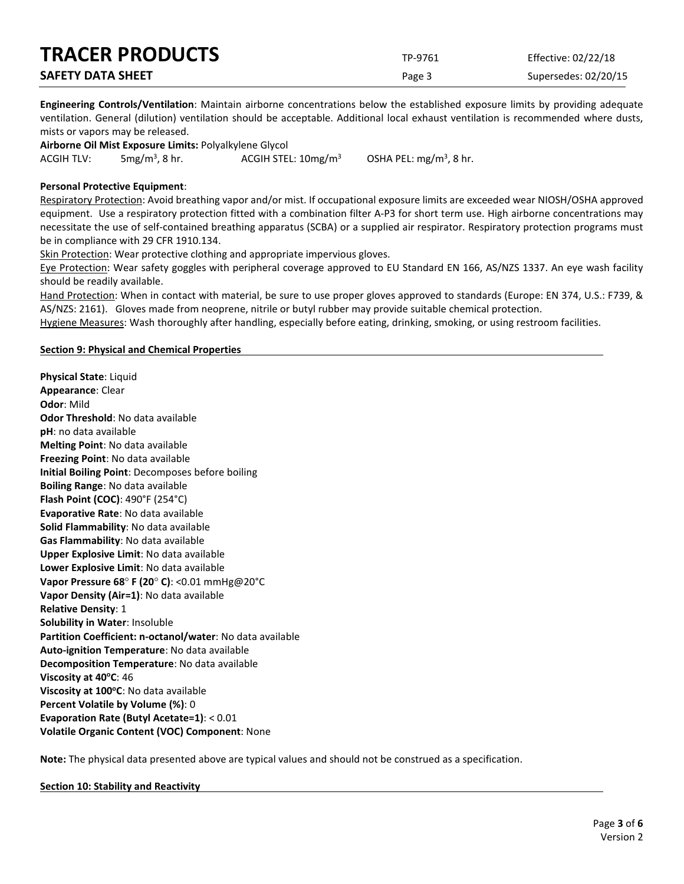| <b>TRACER PRODUCTS</b>   | TP-9761 | Effective: 02/22/18  |
|--------------------------|---------|----------------------|
| <b>SAFETY DATA SHEET</b> | Page 3  | Supersedes: 02/20/15 |

**Engineering Controls/Ventilation**: Maintain airborne concentrations below the established exposure limits by providing adequate ventilation. General (dilution) ventilation should be acceptable. Additional local exhaust ventilation is recommended where dusts, mists or vapors may be released.

**Airborne Oil Mist Exposure Limits:** Polyalkylene Glycol ACGIH TLV:  $5mg/m<sup>3</sup>$ , 8 hr. ACGIH STEL:  $10$ mg/m<sup>3</sup>

OSHA PEL:  $mg/m<sup>3</sup>$ , 8 hr.

# **Personal Protective Equipment**:

Respiratory Protection: Avoid breathing vapor and/or mist. If occupational exposure limits are exceeded wear NIOSH/OSHA approved equipment. Use a respiratory protection fitted with a combination filter A-P3 for short term use. High airborne concentrations may necessitate the use of self-contained breathing apparatus (SCBA) or a supplied air respirator. Respiratory protection programs must be in compliance with 29 CFR 1910.134.

Skin Protection: Wear protective clothing and appropriate impervious gloves.

Eye Protection: Wear safety goggles with peripheral coverage approved to EU Standard EN 166, AS/NZS 1337. An eye wash facility should be readily available.

Hand Protection: When in contact with material, be sure to use proper gloves approved to standards (Europe: EN 374, U.S.: F739, & AS/NZS: 2161). Gloves made from neoprene, nitrile or butyl rubber may provide suitable chemical protection.

Hygiene Measures: Wash thoroughly after handling, especially before eating, drinking, smoking, or using restroom facilities.

# **Section 9: Physical and Chemical Properties**

**Physical State**: Liquid **Appearance**: Clear **Odor**: Mild **Odor Threshold**: No data available **pH**: no data available **Melting Point**: No data available **Freezing Point**: No data available **Initial Boiling Point**: Decomposes before boiling **Boiling Range**: No data available **Flash Point (COC)**: 490°F (254°C) **Evaporative Rate**: No data available **Solid Flammability**: No data available **Gas Flammability**: No data available **Upper Explosive Limit**: No data available **Lower Explosive Limit**: No data available **Vapor Pressure 68**° **F (20**° **C)**: <0.01 mmHg@20°C **Vapor Density (Air=1)**: No data available **Relative Density**: 1 **Solubility in Water**: Insoluble **Partition Coefficient: n-octanol/water**: No data available **Auto-ignition Temperature**: No data available **Decomposition Temperature**: No data available **Viscosity at 40°C: 46 Viscosity at 100°C**: No data available **Percent Volatile by Volume (%)**: 0 **Evaporation Rate (Butyl Acetate=1)**: < 0.01 **Volatile Organic Content (VOC) Component**: None

**Note:** The physical data presented above are typical values and should not be construed as a specification.

**Section 10: Stability and Reactivity**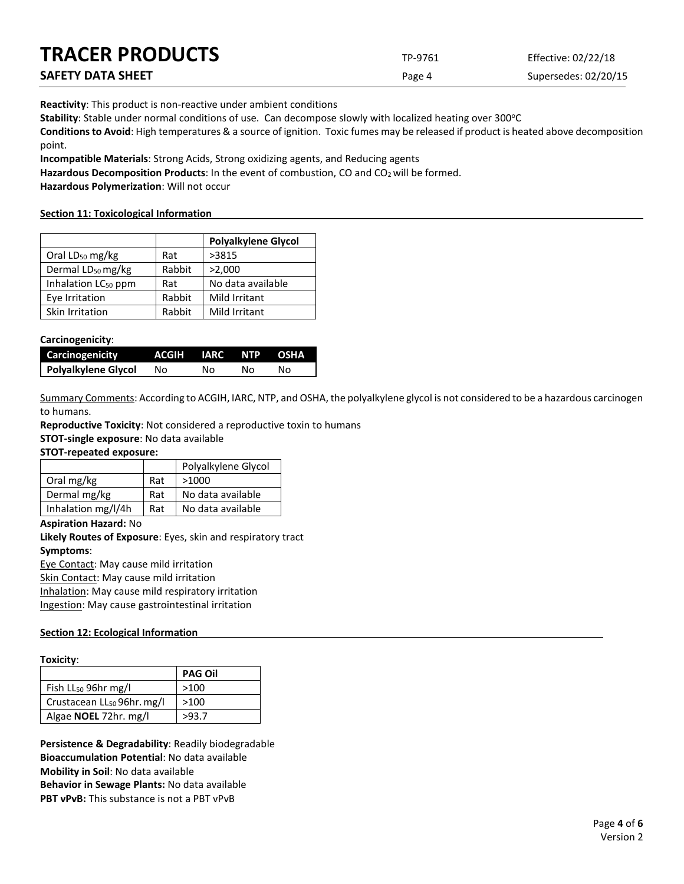| <b>TRACER PRODUCTS</b> | TP-9761 | Effective: 02/22/18  |
|------------------------|---------|----------------------|
| SAFETY DATA SHEET      | Page 4  | Supersedes: 02/20/15 |

**Reactivity**: This product is non-reactive under ambient conditions

Stability: Stable under normal conditions of use. Can decompose slowly with localized heating over 300°C

**Conditions to Avoid**: High temperatures & a source of ignition. Toxic fumes may be released if product is heated above decomposition point.

**Incompatible Materials**: Strong Acids, Strong oxidizing agents, and Reducing agents

Hazardous Decomposition Products: In the event of combustion, CO and CO<sub>2</sub> will be formed.

**Hazardous Polymerization**: Will not occur

#### **Section 11: Toxicological Information**

|                                 |        | <b>Polyalkylene Glycol</b> |
|---------------------------------|--------|----------------------------|
| Oral LD <sub>50</sub> mg/kg     | Rat    | >3815                      |
| Dermal LD <sub>50</sub> mg/kg   | Rabbit | >2,000                     |
| Inhalation LC <sub>50</sub> ppm | Rat    | No data available          |
| Eye Irritation                  | Rabbit | Mild Irritant              |
| Skin Irritation                 | Rabbit | Mild Irritant              |

#### **Carcinogenicity**:

| Carcinogenicity     | ACGIH IARC NTP OSHA |    |    |    |
|---------------------|---------------------|----|----|----|
| Polyalkylene Glycol | No.                 | N٥ | NΩ | N٥ |

Summary Comments: According to ACGIH, IARC, NTP, and OSHA, the polyalkylene glycol is not considered to be a hazardous carcinogen to humans.

**Reproductive Toxicity**: Not considered a reproductive toxin to humans

**STOT-single exposure**: No data available

**STOT-repeated exposure:**

|                    |     | Polyalkylene Glycol |
|--------------------|-----|---------------------|
| Oral mg/kg         | Rat | >1000               |
| Dermal mg/kg       | Rat | No data available   |
| Inhalation mg/l/4h | Rat | No data available   |

#### **Aspiration Hazard:** No

**Likely Routes of Exposure**: Eyes, skin and respiratory tract **Symptoms**: Eye Contact: May cause mild irritation

Skin Contact: May cause mild irritation

Inhalation: May cause mild respiratory irritation Ingestion: May cause gastrointestinal irritation

# **Section 12: Ecological Information**

#### **Toxicity**:

|                                        | <b>PAG Oil</b> |
|----------------------------------------|----------------|
| Fish $LL_{50}$ 96hr mg/l               | >100           |
| Crustacean LL <sub>50</sub> 96hr. mg/l | >100           |
| Algae <b>NOEL</b> 72hr. mg/l           | >93.7          |

**Persistence & Degradability**: Readily biodegradable **Bioaccumulation Potential**: No data available **Mobility in Soil**: No data available **Behavior in Sewage Plants:** No data available **PBT vPvB:** This substance is not a PBT vPvB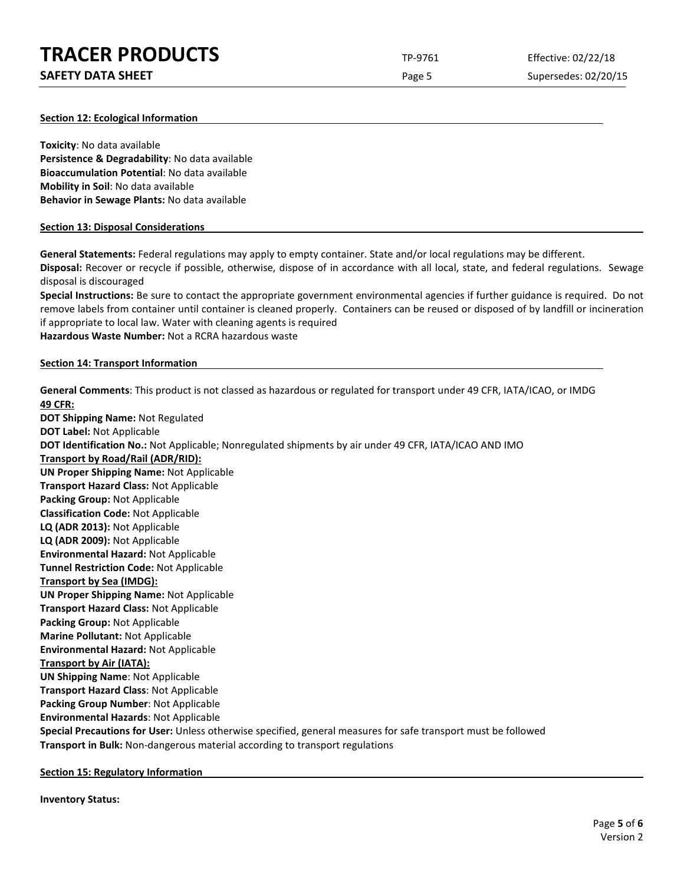| <b>TRACER PRODUCTS</b>   | TP-9761 | Effective: 02/22/18  |
|--------------------------|---------|----------------------|
| <b>SAFETY DATA SHEET</b> | Page 5  | Supersedes: 02/20/15 |

#### **Section 12: Ecological Information**

**Toxicity**: No data available **Persistence & Degradability**: No data available **Bioaccumulation Potential**: No data available **Mobility in Soil**: No data available **Behavior in Sewage Plants:** No data available

#### **Section 13: Disposal Considerations**

**General Statements:** Federal regulations may apply to empty container. State and/or local regulations may be different.

**Disposal:** Recover or recycle if possible, otherwise, dispose of in accordance with all local, state, and federal regulations. Sewage disposal is discouraged

**Special Instructions:** Be sure to contact the appropriate government environmental agencies if further guidance is required. Do not remove labels from container until container is cleaned properly. Containers can be reused or disposed of by landfill or incineration if appropriate to local law. Water with cleaning agents is required **Hazardous Waste Number:** Not a RCRA hazardous waste

#### **Section 14: Transport Information**

**General Comments**: This product is not classed as hazardous or regulated for transport under 49 CFR, IATA/ICAO, or IMDG **49 CFR: DOT Shipping Name:** Not Regulated **DOT Label:** Not Applicable **DOT Identification No.:** Not Applicable; Nonregulated shipments by air under 49 CFR, IATA/ICAO AND IMO **Transport by Road/Rail (ADR/RID): UN Proper Shipping Name:** Not Applicable **Transport Hazard Class:** Not Applicable **Packing Group:** Not Applicable **Classification Code:** Not Applicable **LQ (ADR 2013):** Not Applicable **LQ (ADR 2009):** Not Applicable **Environmental Hazard:** Not Applicable **Tunnel Restriction Code:** Not Applicable **Transport by Sea (IMDG): UN Proper Shipping Name:** Not Applicable **Transport Hazard Class:** Not Applicable **Packing Group:** Not Applicable **Marine Pollutant:** Not Applicable **Environmental Hazard:** Not Applicable **Transport by Air (IATA): UN Shipping Name**: Not Applicable **Transport Hazard Class**: Not Applicable **Packing Group Number**: Not Applicable **Environmental Hazards**: Not Applicable **Special Precautions for User:** Unless otherwise specified, general measures for safe transport must be followed **Transport in Bulk:** Non-dangerous material according to transport regulations

**Section 15: Regulatory Information**

**Inventory Status:**